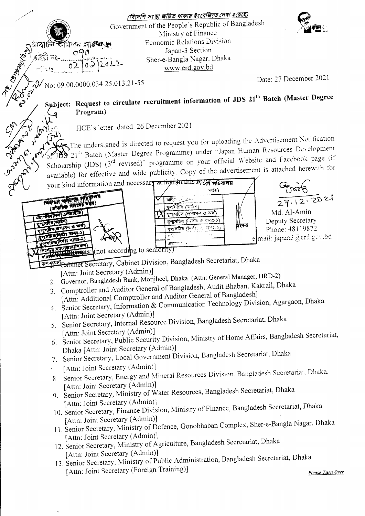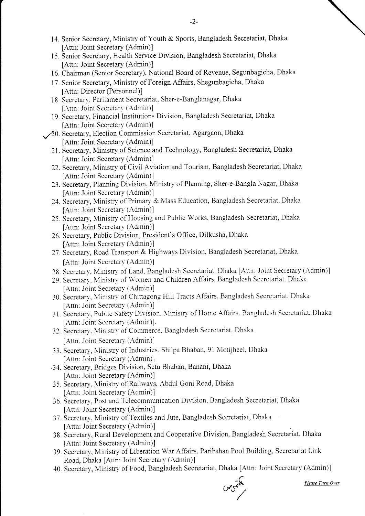- 14. Senior Secretary, Ministry of Youth & Sports, Bangladesh Secretariat, Dhaka fAttn: Joint Secretary (Admin)]
- 15. Senior Secretary, Health Service Division, Bangladesh Secretariat, Dhaka [Attn: Joint Secretary (Admin)]
- 16. Chairman (Senior Secretary), National Board of Revenue, Segunbagicha, Dhaka
- 17. Senior Secretary, Ministry of Foreign Affairs, Shegunbagicha, Dhaka [Attn: Director (Personnel)]
- 18. Secretarv. Parliament Secretariat, Sher-e-Banglanagar, Dhaka [Attn: Joint Secretary (Admin)]
- 19. Secretary, Financial Institutions Division, Bangladesh Secretariat. Dhaka [Attn: Joint Secretary (Admin)]
- 20. Secretary, Election Commission Secretariat, Agargaon, Dhaka fAttn: Joint Secretary (Admin)]
	- 21. Secretary, Ministry of Science and Technology, Bangladesh Secretariat, Dhaka [Attn: Joint Secretary (Admin)]
	- 22. Secretary, Ministry of Civil Aviation and Tourism, Bangladesh Secretariat, Dhaka fAttn: Joint Secretary (Admin)]
	- 23. Secretary, Planning Division, Ministry of Planning, Sher-e-Bangla Nagar. Dhaka [Attn: Joint Secretary (Admin)]
	- 24. Secretary, Ministry of Primary & Mass Education, Bangladesh Secretariat, Dhaka fAttn: Joint Secretary (Admin)]
	- 25. Secretary, Ministry of Housing and Public Works, Bangladesh Secretariat, Dhaka fAttn: Joint Secretary (Admin)]
	- 26. Secretary, Pubiic Division, President's Office, Dilkusha, Dhaka fAttn: Joint Secretary (Admin)]
	- 27. Secretary, Road Transport & Highways Division, Bangladesh Secretariat, Dhaka [Attn: Joint Secretary (Admin)]
	- 28. Secretarv, Ministry of Land, Bangladesh Secretariat, Dhaka [Attn: Joint Secretary (Admin)]
	- 29. Secretary, Ministry of Women and Children Affairs. Bangladesh Secretariat. Dhaka [Attn: Joint Secretary (Admin)]
	- 30. Secretary, Ministry of Chittagong Hill Tracts Affairs, Bangladesh Secretariat, Dhaka [Attn: Joint Secretary (Admin)]
	- 31. Secretary, Public Safety Division. Ministry of Home Affairs, Bangladesh Secretariat. Dhaka [Attn: Joint Secretary (Admin)].
	- 32. Secretary, Ministry of Commerce. Bangladesh Secretariat. Dhaka [Attn. Joint Secretary (Admin)]
	- 33. Secretary, Ministry of Industries, Shilpa Bhaban, 91 Motijheel, Dhaka [Attn: Joint Secretary (Admin)]
	- .34. Secretary, Bridges Division, Setu Bhaban, Banani, Dhaka [Attn: Joint Secretary (Admin)]
	- 35. Secretary, Nlinistry of Railways, Abdul Goni Road, Dhaka fAttn: Joint Secretary (Admin)]
	- 36. Secretary, Post and Telecommunication Division. Bangladesh Secretariat, Dhaka [Attn: Joint Secretary (Admin)]
	- 37. Secretary, Ministry of Textiles and Jute, Bangladesh Secretariat, Dhaka fAttn: Joint Secretary (Admin)]
	- 38. Secretary, Rural Development and Cooperative Division, Bangladesh Secretariat, Dhaka fAttn: Joint Secretary (Admin)]
	- 39. Secretary, Ministry of Liberation War Affairs, Paribahan Pool Building, Secretariat Link Road, Dhaka fAttn: Joint Secretary (Admin)l
	- 40. Secretary, Ministry of Food, Bangladesh Secretariat, Dhaka [Attn: Joint Secretary (Admin)]

 $0.555$ 

Please Turn Over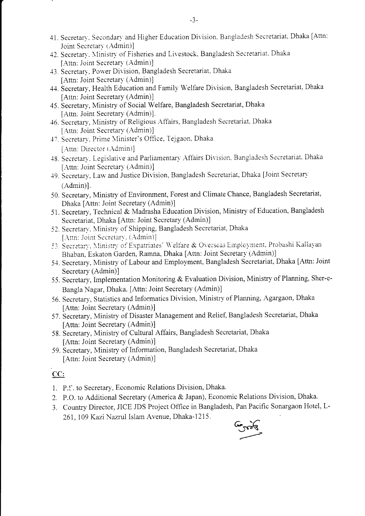- 41. Secretary, Secondary and Higher Education Division. Bangladesh Secretariat, Dhaka [Attn: Joint Secretary (Admin)]
- 42. Secretary. Ministry of Fisheries and Livestock, Bangladesh Secretariat. Dhaka [Attn: Joint Secretary (Admin)].
- 43. Secretary, Power Division, Bangladesh Secretariat. Dhaka [Attn: Joint Secretary (Admin)]
- 44. Secretary, Health Education and Family Welfare Division, Bangladesh Secretariat, Dhaka [Attn: Joint Secretary (Admin)]
- 45. Secretary, Ministry of Social Welfare, Bangladesh Secretariat, Dhaka [Attn: Joint Secretary (Admin)].
- -16. Secretary, Ministry of Religious Affairs, Bangladesh Secretariat. Dhaka [Attn: Joint Secretary (Admin)]
- 47. Secretary. Prime Minister's Office. Tejgaon. Dhaka  $[Attn: Director (Admin)]$
- 48. Secretary. Legislative and Parliamentary Affairs Division. Bangladesh Secretariat. Dhaka [Attn: Joint Secretary (Admin)]
- 49. Secretary, Law and Justice Division, Bangladesh Secretariat, Dhaka [Joint Secretary] (Admin)1.
- 50. Secretary, Ministry of Environment, Forest and Climate Chance, Bangladesh Secretariat, Dhaka fAttn: Joint Secretary (Admin)]
- 51. Secretary, Technical & Madrasha Education Division, Ministry of Education, Bangladesh Secretariat, Dhaka [Attn: Joint Secretary (Admin)]
- 52. Secretary, Ministry of Shipping, Bangladesh Secretariat, Dhaka [Attn: Joint Secretary. (Admin)]
- 53. Secretary. Ministry of Expatriates' Welfare & Overseas Employment, Probashi Kallayan Bhaban, Eskaton Garden, Ramna, Dhaka [Attn: Joint Secretary (Admin)]
- 54. Secretary, Ministry of Labour and Employment, Bangladesh Secretariat, Dhaka [Attn: Joint Secretary (Admin)l
- 55. Secretary, Implementation Monitoring & Evaluation Division, Ministry of Planning, Sher-e-Bangla Nagar, Dhaka. fAttn: Joint Secretary (Admin)]
- 56. Secretary, Statistics and informatics Division, Ministry of Planning, Agargaon, Dhaka fAttn: Joint Secretary (Admin)]
- 57. Secretary, Ministry of Disaster Management and Relief, Bangladesh Secretariat, Dhaka [Attn: Joint Secretary (Admin)]
- 58. Secretary, Ministry of Cultural Affairs, Bangladesh Secretariat, Dhaka fAttn: Joint Secretary (Admin)]
- 59. Secretary, Ministry of Information, Bangladesh Secretariat, Dhaka fAttn: Joint Secretary (Admin)]

### CC:

- L P.S. to Secretary, Economic Relations Division, Dhaka.
- 2. P.O. to Additional Secretary (America & Japan), Economic Relations Division, Dhaka.
- 3, Country Director, JICE JDS Project Otfice in Bangladesh, Pan Pacific Sonargaon Hotel, L-261,109 Kazi Nazrul Islam Avenue, Dhaka-1215.

 $\overline{C}$ tra't3